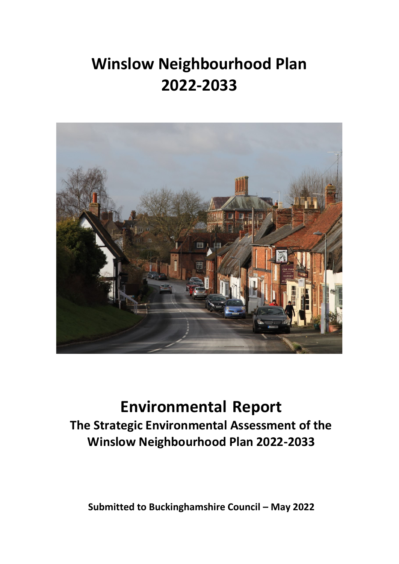# **Winslow Neighbourhood Plan 2022-2033**



## **Environmental Report**

**The Strategic Environmental Assessment of the Winslow Neighbourhood Plan 2022-2033**

**Submitted to Buckinghamshire Council – May 2022**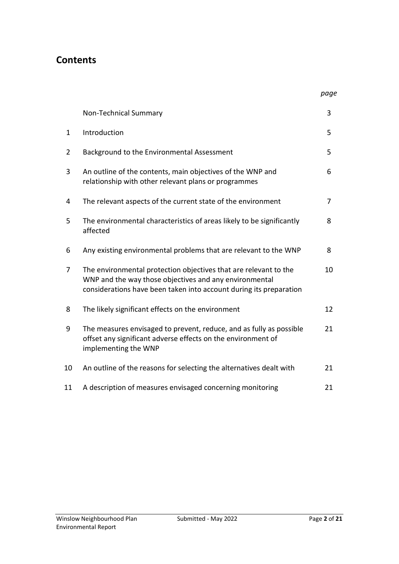## **Contents**

|--|

|                | Non-Technical Summary                                                                                                                                                                            | 3  |
|----------------|--------------------------------------------------------------------------------------------------------------------------------------------------------------------------------------------------|----|
| $\mathbf{1}$   | Introduction                                                                                                                                                                                     | 5  |
| $\overline{2}$ | Background to the Environmental Assessment                                                                                                                                                       | 5  |
| 3              | An outline of the contents, main objectives of the WNP and<br>relationship with other relevant plans or programmes                                                                               | 6  |
| 4              | The relevant aspects of the current state of the environment                                                                                                                                     | 7  |
| 5              | The environmental characteristics of areas likely to be significantly<br>affected                                                                                                                | 8  |
| 6              | Any existing environmental problems that are relevant to the WNP                                                                                                                                 | 8  |
| 7              | The environmental protection objectives that are relevant to the<br>WNP and the way those objectives and any environmental<br>considerations have been taken into account during its preparation | 10 |
| 8              | The likely significant effects on the environment                                                                                                                                                | 12 |
| 9              | The measures envisaged to prevent, reduce, and as fully as possible<br>offset any significant adverse effects on the environment of<br>implementing the WNP                                      | 21 |
| 10             | An outline of the reasons for selecting the alternatives dealt with                                                                                                                              | 21 |
| 11             | A description of measures envisaged concerning monitoring                                                                                                                                        | 21 |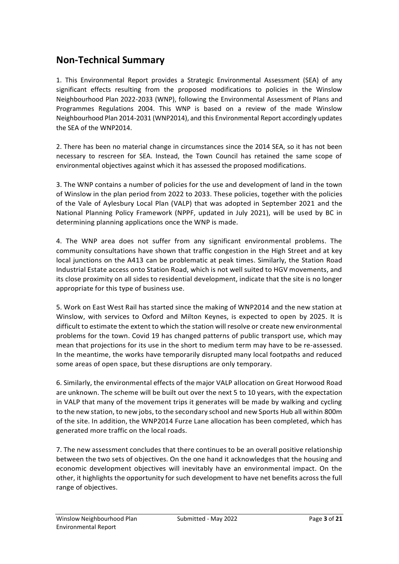## **Non-Technical Summary**

1. This Environmental Report provides a Strategic Environmental Assessment (SEA) of any significant effects resulting from the proposed modifications to policies in the Winslow Neighbourhood Plan 2022-2033 (WNP), following the Environmental Assessment of Plans and Programmes Regulations 2004. This WNP is based on a review of the made Winslow Neighbourhood Plan 2014-2031 (WNP2014), and this Environmental Report accordingly updates the SEA of the WNP2014.

2. There has been no material change in circumstances since the 2014 SEA, so it has not been necessary to rescreen for SEA. Instead, the Town Council has retained the same scope of environmental objectives against which it has assessed the proposed modifications.

3. The WNP contains a number of policies for the use and development of land in the town of Winslow in the plan period from 2022 to 2033. These policies, together with the policies of the Vale of Aylesbury Local Plan (VALP) that was adopted in September 2021 and the National Planning Policy Framework (NPPF, updated in July 2021), will be used by BC in determining planning applications once the WNP is made.

4. The WNP area does not suffer from any significant environmental problems. The community consultations have shown that traffic congestion in the High Street and at key local junctions on the A413 can be problematic at peak times. Similarly, the Station Road Industrial Estate access onto Station Road, which is not well suited to HGV movements, and its close proximity on all sides to residential development, indicate that the site is no longer appropriate for this type of business use.

5. Work on East West Rail has started since the making of WNP2014 and the new station at Winslow, with services to Oxford and Milton Keynes, is expected to open by 2025. It is difficult to estimate the extent to which the station will resolve or create new environmental problems for the town. Covid 19 has changed patterns of public transport use, which may mean that projections for its use in the short to medium term may have to be re-assessed. In the meantime, the works have temporarily disrupted many local footpaths and reduced some areas of open space, but these disruptions are only temporary.

6. Similarly, the environmental effects of the major VALP allocation on Great Horwood Road are unknown. The scheme will be built out over the next 5 to 10 years, with the expectation in VALP that many of the movement trips it generates will be made by walking and cycling to the new station, to new jobs, to the secondary school and new Sports Hub all within 800m of the site. In addition, the WNP2014 Furze Lane allocation has been completed, which has generated more traffic on the local roads.

7. The new assessment concludes that there continues to be an overall positive relationship between the two sets of objectives. On the one hand it acknowledges that the housing and economic development objectives will inevitably have an environmental impact. On the other, it highlights the opportunity for such development to have net benefits across the full range of objectives.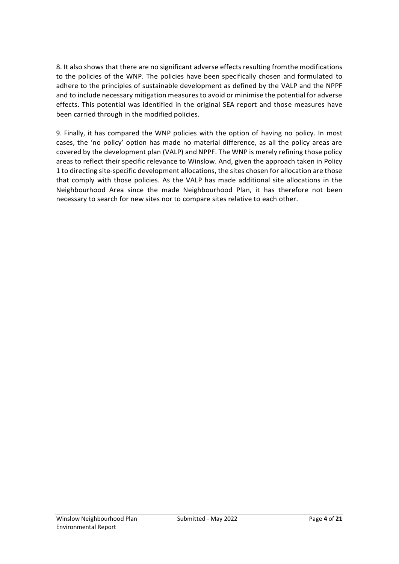8. It also shows that there are no significant adverse effects resulting fromthe modifications to the policies of the WNP. The policies have been specifically chosen and formulated to adhere to the principles of sustainable development as defined by the VALP and the NPPF and to include necessary mitigation measures to avoid or minimise the potential for adverse effects. This potential was identified in the original SEA report and those measures have been carried through in the modified policies.

9. Finally, it has compared the WNP policies with the option of having no policy. In most cases, the 'no policy' option has made no material difference, as all the policy areas are covered by the development plan (VALP) and NPPF. The WNP is merely refining those policy areas to reflect their specific relevance to Winslow. And, given the approach taken in Policy 1 to directing site-specific development allocations, the sites chosen for allocation are those that comply with those policies. As the VALP has made additional site allocations in the Neighbourhood Area since the made Neighbourhood Plan, it has therefore not been necessary to search for new sites nor to compare sites relative to each other.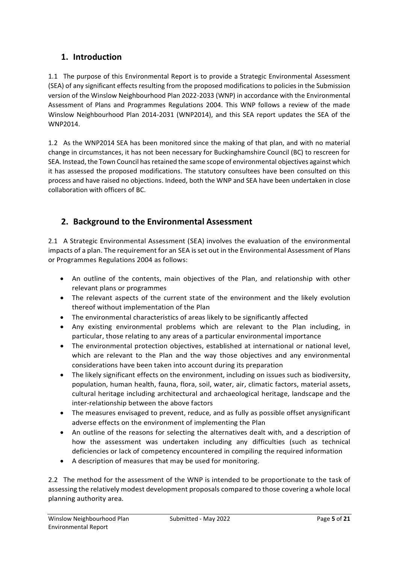## **1. Introduction**

1.1 The purpose of this Environmental Report is to provide a Strategic Environmental Assessment (SEA) of any significant effects resulting from the proposed modifications to policies in the Submission version of the Winslow Neighbourhood Plan 2022-2033 (WNP) in accordance with the Environmental Assessment of Plans and Programmes Regulations 2004. This WNP follows a review of the made Winslow Neighbourhood Plan 2014-2031 (WNP2014), and this SEA report updates the SEA of the WNP2014.

1.2 As the WNP2014 SEA has been monitored since the making of that plan, and with no material change in circumstances, it has not been necessary for Buckinghamshire Council (BC) to rescreen for SEA. Instead, the Town Council has retained the same scope of environmental objectives against which it has assessed the proposed modifications. The statutory consultees have been consulted on this process and have raised no objections. Indeed, both the WNP and SEA have been undertaken in close collaboration with officers of BC.

## **2. Background to the Environmental Assessment**

2.1 A Strategic Environmental Assessment (SEA) involves the evaluation of the environmental impacts of a plan. The requirement for an SEA is set out in the Environmental Assessment of Plans or Programmes Regulations 2004 as follows:

- An outline of the contents, main objectives of the Plan, and relationship with other relevant plans or programmes
- The relevant aspects of the current state of the environment and the likely evolution thereof without implementation of the Plan
- The environmental characteristics of areas likely to be significantly affected
- Any existing environmental problems which are relevant to the Plan including, in particular, those relating to any areas of a particular environmental importance
- The environmental protection objectives, established at international or national level, which are relevant to the Plan and the way those objectives and any environmental considerations have been taken into account during its preparation
- The likely significant effects on the environment, including on issues such as biodiversity, population, human health, fauna, flora, soil, water, air, climatic factors, material assets, cultural heritage including architectural and archaeological heritage, landscape and the inter-relationship between the above factors
- The measures envisaged to prevent, reduce, and as fully as possible offset anysignificant adverse effects on the environment of implementing the Plan
- An outline of the reasons for selecting the alternatives dealt with, and a description of how the assessment was undertaken including any difficulties (such as technical deficiencies or lack of competency encountered in compiling the required information
- A description of measures that may be used for monitoring.

2.2 The method for the assessment of the WNP is intended to be proportionate to the task of assessing the relatively modest development proposals compared to those covering a whole local planning authority area.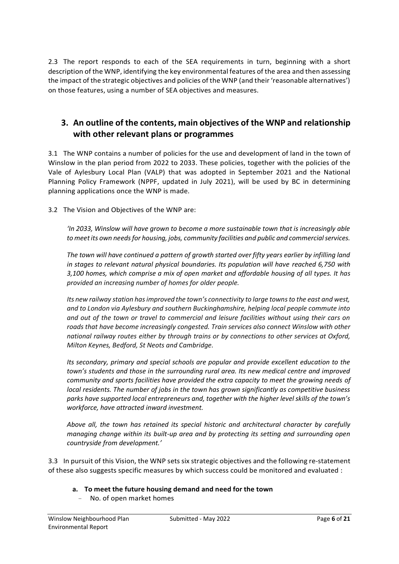2.3 The report responds to each of the SEA requirements in turn, beginning with a short description of the WNP, identifying the key environmental features of the area and then assessing the impact of the strategic objectives and policies of the WNP (and their 'reasonable alternatives') on those features, using a number of SEA objectives and measures.

## **3. An outline of the contents, main objectives of the WNP and relationship with other relevant plans or programmes**

3.1 The WNP contains a number of policies for the use and development of land in the town of Winslow in the plan period from 2022 to 2033. These policies, together with the policies of the Vale of Aylesbury Local Plan (VALP) that was adopted in September 2021 and the National Planning Policy Framework (NPPF, updated in July 2021), will be used by BC in determining planning applications once the WNP is made.

3.2 The Vision and Objectives of the WNP are:

*'In 2033, Winslow will have grown to become a more sustainable town that is increasingly able to meet its own needs for housing, jobs, community facilities and public and commercial services.*

*The town will have continued a pattern of growth started over fifty years earlier by infilling land in stages to relevant natural physical boundaries. Its population will have reached 6,750 with 3,100 homes, which comprise a mix of open market and affordable housing of all types. It has provided an increasing number of homes for older people.*

*Its new railway station has improved the town's connectivity to large towns to the east and west, and to London via Aylesbury and southern Buckinghamshire, helping local people commute into and out of the town or travel to commercial and leisure facilities without using their cars on roads that have become increasingly congested. Train services also connect Winslow with other national railway routes either by through trains or by connections to other services at Oxford, Milton Keynes, Bedford, St Neots and Cambridge.*

*Its secondary, primary and special schools are popular and provide excellent education to the town's students and those in the surrounding rural area. Its new medical centre and improved community and sports facilities have provided the extra capacity to meet the growing needs of local residents. The number of jobs in the town has grown significantly as competitive business parks have supported local entrepreneurs and, together with the higher level skills of the town's workforce, have attracted inward investment.*

*Above all, the town has retained its special historic and architectural character by carefully managing change within its built-up area and by protecting its setting and surrounding open countryside from development.'*

3.3 In pursuit of this Vision, the WNP sets six strategic objectives and the following re-statement of these also suggests specific measures by which success could be monitored and evaluated :

- **a. To meet the future housing demand and need for the town**
	- No. of open market homes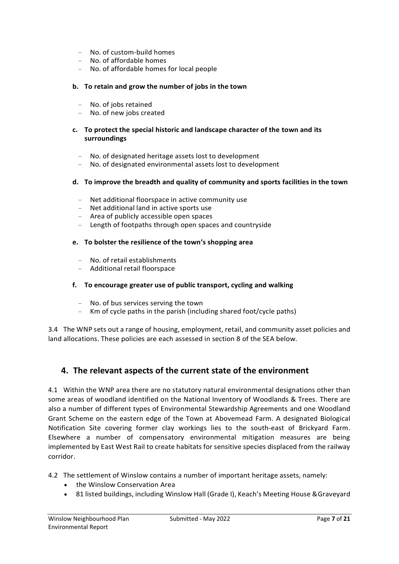- No. of custom-build homes
- No. of affordable homes
- No. of affordable homes for local people

#### **b. To retain and grow the number of jobs in the town**

- No. of jobs retained
- No. of new jobs created

#### **c. To protect the special historic and landscape character of the town and its surroundings**

- No. of designated heritage assets lost to development
- No. of designated environmental assets lost to development

#### **d. To improve the breadth and quality of community and sports facilities in the town**

- Net additional floorspace in active community use
- Net additional land in active sports use
- Area of publicly accessible open spaces
- Length of footpaths through open spaces and countryside

#### **e. To bolster the resilience of the town's shopping area**

- No. of retail establishments
- Additional retail floorspace

#### **f. To encourage greater use of public transport, cycling and walking**

- No. of bus services serving the town
- Km of cycle paths in the parish (including shared foot/cycle paths)

3.4 The WNP sets out a range of housing, employment, retail, and community asset policies and land allocations. These policies are each assessed in section 8 of the SEA below.

## **4. The relevant aspects of the current state of the environment**

4.1 Within the WNP area there are no statutory natural environmental designations other than some areas of woodland identified on the National Inventory of Woodlands & Trees. There are also a number of different types of Environmental Stewardship Agreements and one Woodland Grant Scheme on the eastern edge of the Town at Abovemead Farm. A designated Biological Notification Site covering former clay workings lies to the south-east of Brickyard Farm. Elsewhere a number of compensatory environmental mitigation measures are being implemented by East West Rail to create habitats for sensitive species displaced from the railway corridor.

4.2 The settlement of Winslow contains a number of important heritage assets, namely:

- the Winslow Conservation Area
- 81 listed buildings, including Winslow Hall (Grade I), Keach's Meeting House &Graveyard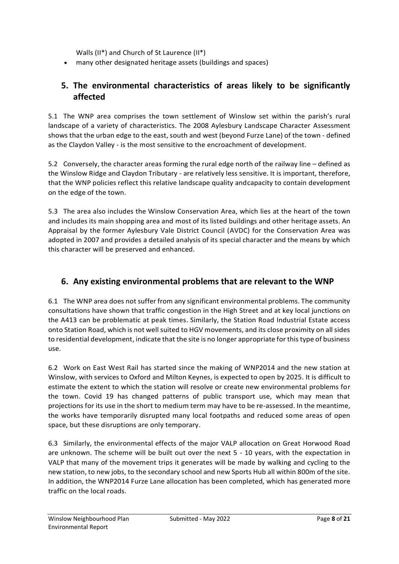Walls (II\*) and Church of St Laurence (II\*)

• many other designated heritage assets (buildings and spaces)

## **5. The environmental characteristics of areas likely to be significantly affected**

5.1 The WNP area comprises the town settlement of Winslow set within the parish's rural landscape of a variety of characteristics. The 2008 Aylesbury Landscape Character Assessment shows that the urban edge to the east, south and west (beyond Furze Lane) of the town - defined as the Claydon Valley - is the most sensitive to the encroachment of development.

5.2 Conversely, the character areas forming the rural edge north of the railway line – defined as the Winslow Ridge and Claydon Tributary - are relatively less sensitive. It is important, therefore, that the WNP policies reflect this relative landscape quality andcapacity to contain development on the edge of the town.

5.3 The area also includes the Winslow Conservation Area, which lies at the heart of the town and includes its main shopping area and most of its listed buildings and other heritage assets. An Appraisal by the former Aylesbury Vale District Council (AVDC) for the Conservation Area was adopted in 2007 and provides a detailed analysis of its special character and the means by which this character will be preserved and enhanced.

## **6. Any existing environmental problems that are relevant to the WNP**

6.1 The WNP area does not suffer from any significant environmental problems. The community consultations have shown that traffic congestion in the High Street and at key local junctions on the A413 can be problematic at peak times. Similarly, the Station Road Industrial Estate access onto Station Road, which is not well suited to HGV movements, and its close proximity on all sides to residential development, indicate that the site is no longer appropriate for this type of business use.

6.2 Work on East West Rail has started since the making of WNP2014 and the new station at Winslow, with services to Oxford and Milton Keynes, is expected to open by 2025. It is difficult to estimate the extent to which the station will resolve or create new environmental problems for the town. Covid 19 has changed patterns of public transport use, which may mean that projections for its use in the short to medium term may have to be re-assessed. In the meantime, the works have temporarily disrupted many local footpaths and reduced some areas of open space, but these disruptions are only temporary.

6.3 Similarly, the environmental effects of the major VALP allocation on Great Horwood Road are unknown. The scheme will be built out over the next 5 - 10 years, with the expectation in VALP that many of the movement trips it generates will be made by walking and cycling to the new station, to new jobs, to the secondary school and new Sports Hub all within 800m of the site. In addition, the WNP2014 Furze Lane allocation has been completed, which has generated more traffic on the local roads.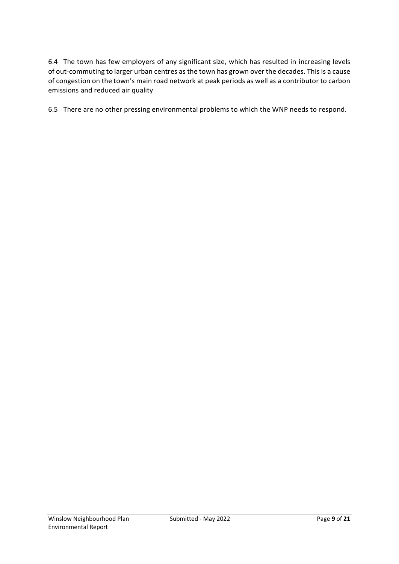6.4 The town has few employers of any significant size, which has resulted in increasing levels of out-commuting to larger urban centres as the town has grown over the decades. This is a cause of congestion on the town's main road network at peak periods as well as a contributor to carbon emissions and reduced air quality

6.5 There are no other pressing environmental problems to which the WNP needs to respond.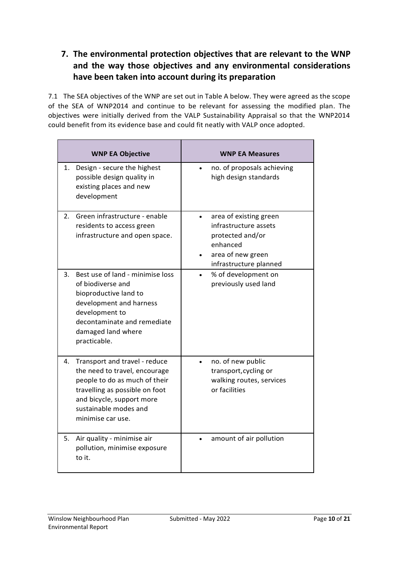## **7. The environmental protection objectives that are relevant to the WNP and the way those objectives and any environmental considerations have been taken into account during its preparation**

7.1 The SEA objectives of the WNP are set out in Table A below. They were agreed as the scope of the SEA of WNP2014 and continue to be relevant for assessing the modified plan. The objectives were initially derived from the VALP Sustainability Appraisal so that the WNP2014 could benefit from its evidence base and could fit neatly with VALP once adopted.

| <b>WNP EA Objective</b>                                                                                                                                                                                            | <b>WNP EA Measures</b>                                                                                                         |
|--------------------------------------------------------------------------------------------------------------------------------------------------------------------------------------------------------------------|--------------------------------------------------------------------------------------------------------------------------------|
| Design - secure the highest<br>1.<br>possible design quality in<br>existing places and new<br>development                                                                                                          | no. of proposals achieving<br>high design standards                                                                            |
| Green infrastructure - enable<br>2.<br>residents to access green<br>infrastructure and open space.                                                                                                                 | area of existing green<br>infrastructure assets<br>protected and/or<br>enhanced<br>area of new green<br>infrastructure planned |
| Best use of land - minimise loss<br>3.<br>of biodiverse and<br>bioproductive land to<br>development and harness<br>development to<br>decontaminate and remediate<br>damaged land where<br>practicable.             | % of development on<br>previously used land                                                                                    |
| Transport and travel - reduce<br>4.<br>the need to travel, encourage<br>people to do as much of their<br>travelling as possible on foot<br>and bicycle, support more<br>sustainable modes and<br>minimise car use. | no. of new public<br>transport, cycling or<br>walking routes, services<br>or facilities                                        |
| Air quality - minimise air<br>5.<br>pollution, minimise exposure<br>to it.                                                                                                                                         | amount of air pollution                                                                                                        |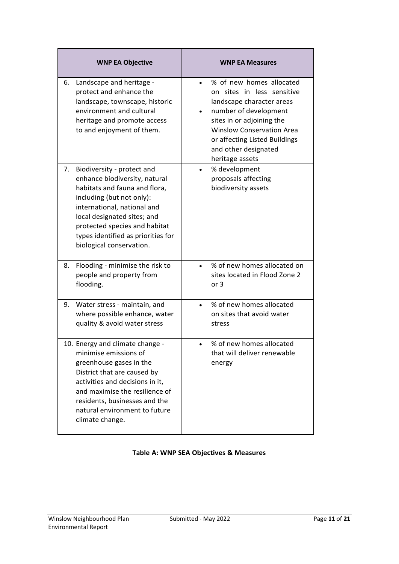| <b>WNP EA Objective</b>                                                                                                                                                                                                                                                                          | <b>WNP EA Measures</b>                                                                                                                                                                                                                                                 |
|--------------------------------------------------------------------------------------------------------------------------------------------------------------------------------------------------------------------------------------------------------------------------------------------------|------------------------------------------------------------------------------------------------------------------------------------------------------------------------------------------------------------------------------------------------------------------------|
| Landscape and heritage -<br>6.<br>protect and enhance the<br>landscape, townscape, historic<br>environment and cultural<br>heritage and promote access<br>to and enjoyment of them.                                                                                                              | % of new homes allocated<br>$\bullet$<br>on sites in less sensitive<br>landscape character areas<br>number of development<br>sites in or adjoining the<br><b>Winslow Conservation Area</b><br>or affecting Listed Buildings<br>and other designated<br>heritage assets |
| Biodiversity - protect and<br>7.<br>enhance biodiversity, natural<br>habitats and fauna and flora,<br>including (but not only):<br>international, national and<br>local designated sites; and<br>protected species and habitat<br>types identified as priorities for<br>biological conservation. | % development<br>proposals affecting<br>biodiversity assets                                                                                                                                                                                                            |
| Flooding - minimise the risk to<br>8.<br>people and property from<br>flooding.                                                                                                                                                                                                                   | % of new homes allocated on<br>sites located in Flood Zone 2<br>or 3                                                                                                                                                                                                   |
| 9. Water stress - maintain, and<br>where possible enhance, water<br>quality & avoid water stress                                                                                                                                                                                                 | % of new homes allocated<br>on sites that avoid water<br>stress                                                                                                                                                                                                        |
| 10. Energy and climate change -<br>minimise emissions of<br>greenhouse gases in the<br>District that are caused by<br>activities and decisions in it,<br>and maximise the resilience of<br>residents, businesses and the<br>natural environment to future<br>climate change.                     | % of new homes allocated<br>that will deliver renewable<br>energy                                                                                                                                                                                                      |

## **Table A: WNP SEA Objectives & Measures**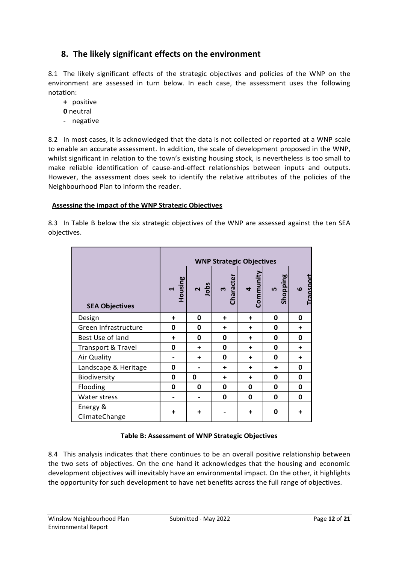## **8. The likely significant effects on the environment**

8.1 The likely significant effects of the strategic objectives and policies of the WNP on the environment are assessed in turn below. In each case, the assessment uses the following notation:

- **+** positive
- **0** neutral
- **-** negative

8.2 In most cases, it is acknowledged that the data is not collected or reported at a WNP scale to enable an accurate assessment. In addition, the scale of development proposed in the WNP, whilst significant in relation to the town's existing housing stock, is nevertheless is too small to make reliable identification of cause-and-effect relationships between inputs and outputs. However, the assessment does seek to identify the relative attributes of the policies of the Neighbourhood Plan to inform the reader.

#### **Assessing the impact of the WNP Strategic Objectives**

8.3 In Table B below the six strategic objectives of the WNP are assessed against the ten SEA objectives.

|                           | <b>WNP Strategic Objectives</b> |                |                          |                                   |                |                     |
|---------------------------|---------------------------------|----------------|--------------------------|-----------------------------------|----------------|---------------------|
| <b>SEA Objectives</b>     | Housing<br>$\blacksquare$       | Jobs<br>$\sim$ | haracter<br>$\mathsf{m}$ | Communit<br>$\blacktriangleright$ | Shopping<br>LŊ | ansport<br>$\omega$ |
| Design                    | ÷                               | 0              | ÷                        | $\ddot{}$                         | 0              | 0                   |
| Green Infrastructure      | 0                               | 0              | $\ddot{}$                | ÷                                 | 0              | $\ddot{}$           |
| Best Use of land          | $\ddot{}$                       | 0              | 0                        | ÷                                 | 0              | 0                   |
| Transport & Travel        | 0                               | $\ddot{}$      | 0                        | ÷                                 | 0              | $\ddot{}$           |
| Air Quality               |                                 | ÷              | 0                        | $\ddot{}$                         | 0              | ÷                   |
| Landscape & Heritage      | 0                               |                | ÷                        | ٠                                 | $\ddot{}$      | 0                   |
| Biodiversity              | 0                               | 0              | $\ddot{}$                | $\ddot{}$                         | 0              | 0                   |
| Flooding                  | $\mathbf 0$                     | 0              | 0                        | 0                                 | 0              | 0                   |
| <b>Water stress</b>       |                                 |                | 0                        | 0                                 | 0              | 0                   |
| Energy &<br>ClimateChange | ٠                               | $\ddot{}$      |                          |                                   | 0              | $\ddot{}$           |

#### **Table B: Assessment of WNP Strategic Objectives**

8.4 This analysis indicates that there continues to be an overall positive relationship between the two sets of objectives. On the one hand it acknowledges that the housing and economic development objectives will inevitably have an environmental impact. On the other, it highlights the opportunity for such development to have net benefits across the full range of objectives.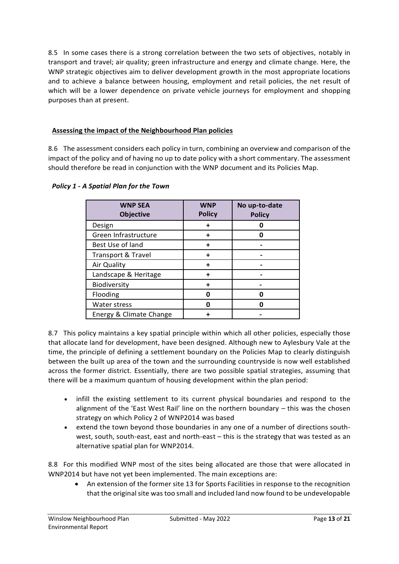8.5 In some cases there is a strong correlation between the two sets of objectives, notably in transport and travel; air quality; green infrastructure and energy and climate change. Here, the WNP strategic objectives aim to deliver development growth in the most appropriate locations and to achieve a balance between housing, employment and retail policies, the net result of which will be a lower dependence on private vehicle journeys for employment and shopping purposes than at present.

#### **Assessing the impact of the Neighbourhood Plan policies**

8.6 The assessment considers each policy in turn, combining an overview and comparison of the impact of the policy and of having no up to date policy with a short commentary. The assessment should therefore be read in conjunction with the WNP document and its Policies Map.

| <b>WNP SEA</b><br><b>Objective</b> | <b>WNP</b><br><b>Policy</b> | No up-to-date<br><b>Policy</b> |
|------------------------------------|-----------------------------|--------------------------------|
| Design                             | ÷                           |                                |
| Green Infrastructure               |                             |                                |
| Best Use of land                   | ÷                           |                                |
| Transport & Travel                 | ┿                           |                                |
| Air Quality                        | ÷                           |                                |
| Landscape & Heritage               |                             |                                |
| Biodiversity                       |                             |                                |
| Flooding                           | በ                           | n                              |
| Water stress                       | ŋ                           |                                |
| Energy & Climate Change            |                             |                                |

#### *Policy 1 - A Spatial Plan for the Town*

8.7 This policy maintains a key spatial principle within which all other policies, especially those that allocate land for development, have been designed. Although new to Aylesbury Vale at the time, the principle of defining a settlement boundary on the Policies Map to clearly distinguish between the built up area of the town and the surrounding countryside is now well established across the former district. Essentially, there are two possible spatial strategies, assuming that there will be a maximum quantum of housing development within the plan period:

- infill the existing settlement to its current physical boundaries and respond to the alignment of the 'East West Rail' line on the northern boundary – this was the chosen strategy on which Policy 2 of WNP2014 was based
- extend the town beyond those boundaries in any one of a number of directions southwest, south, south-east, east and north-east – this is the strategy that was tested as an alternative spatial plan for WNP2014.

8.8 For this modified WNP most of the sites being allocated are those that were allocated in WNP2014 but have not yet been implemented. The main exceptions are:

• An extension of the former site 13 for Sports Facilities in response to the recognition that the original site was too small and included land now found to be undevelopable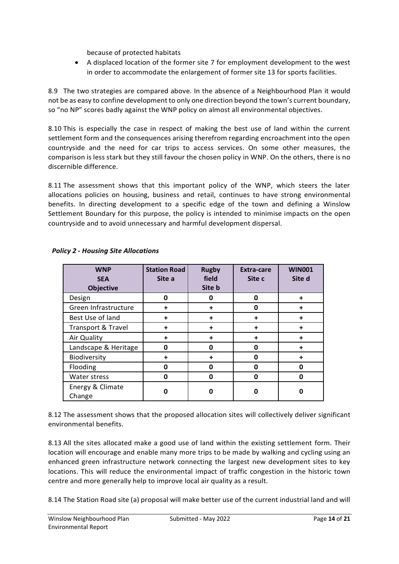because of protected habitats

• A displaced location of the former site 7 for employment development to the west in order to accommodate the enlargement of former site 13 for sports facilities.

8.9 The two strategies are compared above. In the absence of a Neighbourhood Plan it would not be as easy to confine development to only one direction beyond the town's current boundary, so "no NP" scores badly against the WNP policy on almost all environmental objectives.

8.10 This is especially the case in respect of making the best use of land within the current settlement form and the consequences arising therefrom regarding encroachment into the open countryside and the need for car trips to access services. On some other measures, the comparison is less stark but they still favour the chosen policy in WNP. On the others, there is no discernible difference.

8.11 The assessment shows that this important policy of the WNP, which steers the later allocations policies on housing, business and retail, continues to have strong environmental benefits. In directing development to a specific edge of the town and defining a Winslow Settlement Boundary for this purpose, the policy is intended to minimise impacts on the open countryside and to avoid unnecessary and harmful development dispersal.

| <b>WNP</b><br><b>SEA</b><br><b>Objective</b> | <b>Station Road</b><br>Site a | <b>Rugby</b><br>field<br>Site b | <b>Extra-care</b><br>Site c | <b>WIN001</b><br>Site d |
|----------------------------------------------|-------------------------------|---------------------------------|-----------------------------|-------------------------|
| Design                                       | O                             | 0                               | 0                           | ÷                       |
| Green Infrastructure                         |                               | ÷                               | O                           |                         |
| Best Use of land                             |                               | ÷                               | ٠                           | ÷                       |
| Transport & Travel                           |                               | ÷                               | ٠                           |                         |
| Air Quality                                  | ÷                             | ÷                               | ٠                           |                         |
| Landscape & Heritage                         | ი                             | 0                               | O                           |                         |
| Biodiversity                                 | ٠                             | ÷                               | 0                           | $\ddot{}$               |
| Flooding                                     | Ω                             | 0                               | 0                           |                         |
| Water stress                                 | 0                             | 0                               | 0                           |                         |
| Energy & Climate<br>Change                   | n                             | 0                               | ი                           |                         |

#### *Policy 2 - Housing Site Allocations*

8.12 The assessment shows that the proposed allocation sites will collectively deliver significant environmental benefits.

8.13 All the sites allocated make a good use of land within the existing settlement form. Their location will encourage and enable many more trips to be made by walking and cycling using an enhanced green infrastructure network connecting the largest new development sites to key locations. This will reduce the environmental impact of traffic congestion in the historic town centre and more generally help to improve local air quality as a result.

8.14 The Station Road site (a) proposal will make better use of the current industrial land and will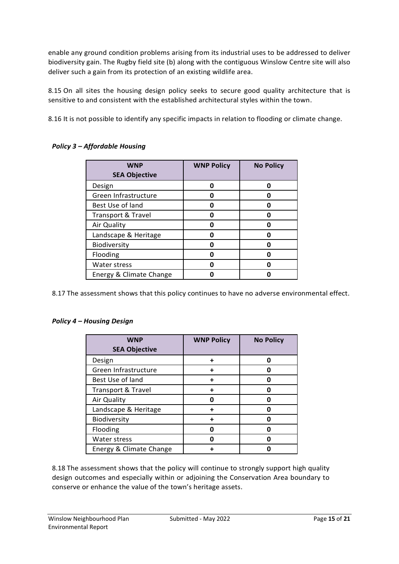enable any ground condition problems arising from its industrial uses to be addressed to deliver biodiversity gain. The Rugby field site (b) along with the contiguous Winslow Centre site will also deliver such a gain from its protection of an existing wildlife area.

8.15 On all sites the housing design policy seeks to secure good quality architecture that is sensitive to and consistent with the established architectural styles within the town.

8.16 It is not possible to identify any specific impacts in relation to flooding or climate change.

| <b>WNP</b><br><b>SEA Objective</b> | <b>WNP Policy</b> | <b>No Policy</b> |
|------------------------------------|-------------------|------------------|
| Design                             | Π                 | n                |
| Green Infrastructure               | n                 |                  |
| Best Use of land                   | n                 |                  |
| <b>Transport &amp; Travel</b>      | Π                 |                  |
| Air Quality                        | Ω                 |                  |
| Landscape & Heritage               | Π                 |                  |
| Biodiversity                       | Π                 |                  |
| Flooding                           | Π                 |                  |
| Water stress                       |                   |                  |
| Energy & Climate Change            |                   |                  |

#### *Policy 3 – Affordable Housing*

8.17 The assessment shows that this policy continues to have no adverse environmental effect.

#### *Policy 4 – Housing Design*

| <b>WNP</b>                    | <b>WNP Policy</b> | <b>No Policy</b> |
|-------------------------------|-------------------|------------------|
| <b>SEA Objective</b>          |                   |                  |
| Design                        | ┿                 |                  |
| Green Infrastructure          |                   |                  |
| Best Use of land              | ٠                 |                  |
| <b>Transport &amp; Travel</b> | ٠                 |                  |
| Air Quality                   | п                 |                  |
| Landscape & Heritage          | +                 |                  |
| Biodiversity                  |                   |                  |
| Flooding                      | Π                 |                  |
| Water stress                  | n                 |                  |
| Energy & Climate Change       |                   |                  |

8.18 The assessment shows that the policy will continue to strongly support high quality design outcomes and especially within or adjoining the Conservation Area boundary to conserve or enhance the value of the town's heritage assets.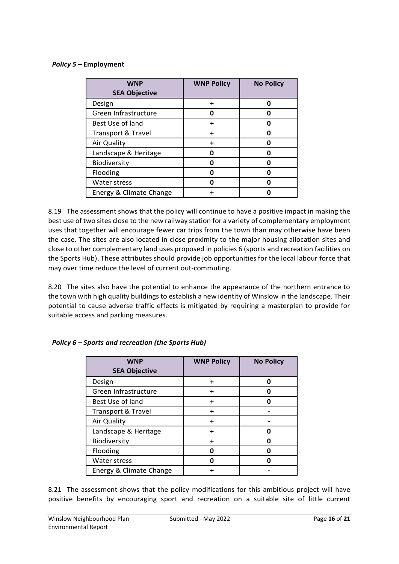#### *Policy 5 –* **Employment**

| <b>WNP</b><br><b>SEA Objective</b> | <b>WNP Policy</b> | <b>No Policy</b> |
|------------------------------------|-------------------|------------------|
| Design                             |                   | n                |
| Green Infrastructure               |                   |                  |
| Best Use of land                   |                   | O                |
| <b>Transport &amp; Travel</b>      |                   | O                |
| Air Quality                        |                   |                  |
| Landscape & Heritage               |                   |                  |
| Biodiversity                       | n                 | n                |
| Flooding                           |                   | п                |
| Water stress                       |                   | п                |
| Energy & Climate Change            |                   |                  |

8.19 The assessment shows that the policy will continue to have a positive impact in making the best use of two sites close to the new railway station for a variety of complementary employment uses that together will encourage fewer car trips from the town than may otherwise have been the case. The sites are also located in close proximity to the major housing allocation sites and close to other complementary land uses proposed in policies 6 (sports and recreation facilities on the Sports Hub). These attributes should provide job opportunities for the local labour force that may over time reduce the level of current out-commuting.

8.20 The sites also have the potential to enhance the appearance of the northern entrance to the town with high quality buildings to establish a new identity of Winslow in the landscape. Their potential to cause adverse traffic effects is mitigated by requiring a masterplan to provide for suitable access and parking measures.

| <b>WNP</b>                    | <b>WNP Policy</b> | <b>No Policy</b> |
|-------------------------------|-------------------|------------------|
| <b>SEA Objective</b>          |                   |                  |
| Design                        | +                 | п                |
| Green Infrastructure          |                   |                  |
| Best Use of land              |                   |                  |
| <b>Transport &amp; Travel</b> | ٠                 |                  |
| Air Quality                   |                   |                  |
| Landscape & Heritage          |                   |                  |
| Biodiversity                  |                   |                  |
| Flooding                      |                   |                  |
| Water stress                  |                   |                  |
| Energy & Climate Change       |                   |                  |

#### *Policy 6 – Sports and recreation (the Sports Hub)*

8.21 The assessment shows that the policy modifications for this ambitious project will have positive benefits by encouraging sport and recreation on a suitable site of little current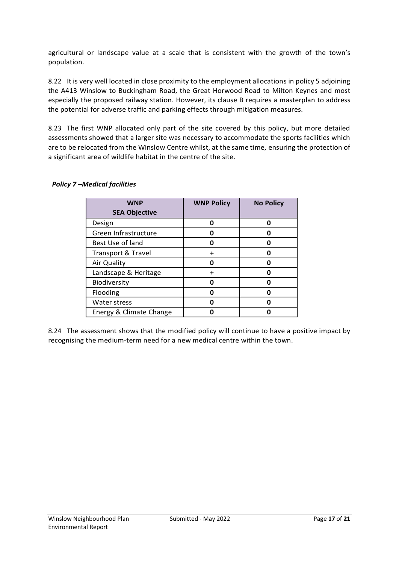agricultural or landscape value at a scale that is consistent with the growth of the town's population.

8.22 It is very well located in close proximity to the employment allocations in policy 5 adjoining the A413 Winslow to Buckingham Road, the Great Horwood Road to Milton Keynes and most especially the proposed railway station. However, its clause B requires a masterplan to address the potential for adverse traffic and parking effects through mitigation measures.

8.23 The first WNP allocated only part of the site covered by this policy, but more detailed assessments showed that a larger site was necessary to accommodate the sports facilities which are to be relocated from the Winslow Centre whilst, at the same time, ensuring the protection of a significant area of wildlife habitat in the centre of the site.

| <b>WNP</b>                    | <b>WNP Policy</b> | <b>No Policy</b> |
|-------------------------------|-------------------|------------------|
| <b>SEA Objective</b>          |                   |                  |
| Design                        | Ω                 |                  |
| Green Infrastructure          |                   |                  |
| Best Use of land              | O                 |                  |
| <b>Transport &amp; Travel</b> | +                 |                  |
| Air Quality                   | n                 |                  |
| Landscape & Heritage          |                   |                  |
| Biodiversity                  | Ω                 |                  |
| Flooding                      | Ω                 |                  |
| Water stress                  | Ω                 |                  |
| Energy & Climate Change       |                   |                  |

#### *Policy 7 –Medical facilities*

8.24 The assessment shows that the modified policy will continue to have a positive impact by recognising the medium-term need for a new medical centre within the town.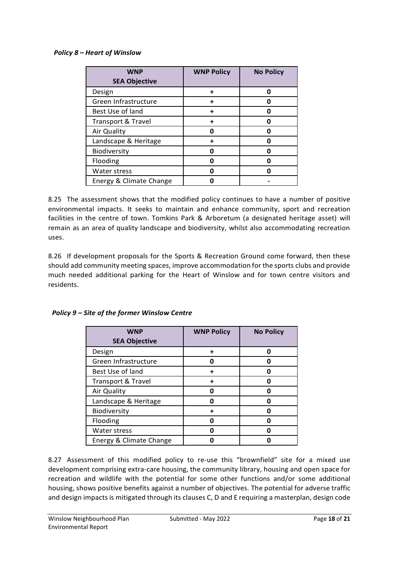#### *Policy 8 – Heart of Winslow*

| <b>WNP</b>              | <b>WNP Policy</b> | <b>No Policy</b> |
|-------------------------|-------------------|------------------|
| <b>SEA Objective</b>    |                   |                  |
| Design                  |                   | n                |
| Green Infrastructure    |                   |                  |
| Best Use of land        |                   |                  |
| Transport & Travel      |                   |                  |
| Air Quality             |                   |                  |
| Landscape & Heritage    |                   |                  |
| Biodiversity            |                   |                  |
| Flooding                |                   |                  |
| <b>Water stress</b>     |                   |                  |
| Energy & Climate Change |                   |                  |

8.25 The assessment shows that the modified policy continues to have a number of positive environmental impacts. It seeks to maintain and enhance community, sport and recreation facilities in the centre of town. Tomkins Park & Arboretum (a designated heritage asset) will remain as an area of quality landscape and biodiversity, whilst also accommodating recreation uses.

8.26 If development proposals for the Sports & Recreation Ground come forward, then these should add community meeting spaces, improve accommodation for the sports clubs and provide much needed additional parking for the Heart of Winslow and for town centre visitors and residents.

| <b>WNP</b>              | <b>WNP Policy</b> | <b>No Policy</b> |
|-------------------------|-------------------|------------------|
| <b>SEA Objective</b>    |                   |                  |
| Design                  | ٠                 | n                |
| Green Infrastructure    | Ω                 |                  |
| Best Use of land        |                   |                  |
| Transport & Travel      |                   |                  |
| Air Quality             | n                 |                  |
| Landscape & Heritage    | በ                 |                  |
| Biodiversity            |                   | n                |
| Flooding                | Ω                 | n                |
| Water stress            | n                 | n                |
| Energy & Climate Change |                   |                  |

*Policy 9 – Site of the former Winslow Centre*

8.27 Assessment of this modified policy to re-use this "brownfield" site for a mixed use development comprising extra-care housing, the community library, housing and open space for recreation and wildlife with the potential for some other functions and/or some additional housing, shows positive benefits against a number of objectives. The potential for adverse traffic and design impacts is mitigated through its clauses C, D and E requiring a masterplan, design code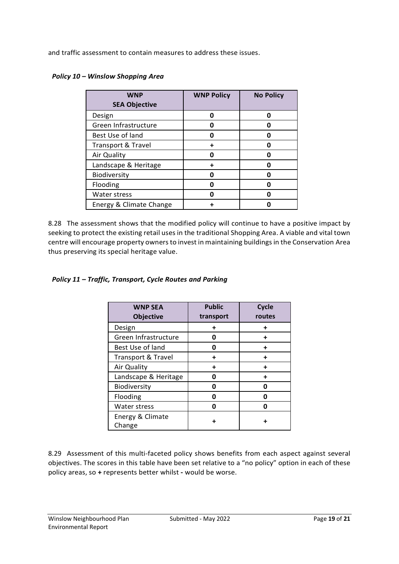and traffic assessment to contain measures to address these issues.

| <b>WNP</b>              | <b>WNP Policy</b> | <b>No Policy</b> |
|-------------------------|-------------------|------------------|
| <b>SEA Objective</b>    |                   |                  |
| Design                  | 0                 |                  |
| Green Infrastructure    |                   |                  |
| Best Use of land        |                   |                  |
| Transport & Travel      |                   |                  |
| Air Quality             |                   |                  |
| Landscape & Heritage    |                   |                  |
| Biodiversity            |                   |                  |
| Flooding                |                   |                  |
| <b>Water stress</b>     |                   |                  |
| Energy & Climate Change |                   |                  |

#### *Policy 10 – Winslow Shopping Area*

8.28 The assessment shows that the modified policy will continue to have a positive impact by seeking to protect the existing retail uses in the traditional Shopping Area. A viable and vital town centre will encourage property owners to invest in maintaining buildings in the Conservation Area thus preserving its special heritage value.

#### *Policy 11 – Traffic, Transport, Cycle Routes and Parking*

| <b>WNP SEA</b><br><b>Objective</b> | <b>Public</b><br>transport | Cycle<br>routes |
|------------------------------------|----------------------------|-----------------|
| Design                             | +                          |                 |
| Green Infrastructure               | ŋ                          |                 |
| Best Use of land                   | n                          |                 |
| <b>Transport &amp; Travel</b>      | ٠                          | ٠               |
| Air Quality                        |                            |                 |
| Landscape & Heritage               | n                          | ٠               |
| Biodiversity                       | n                          | n               |
| Flooding                           | n                          |                 |
| Water stress                       |                            |                 |
| Energy & Climate<br>Change         |                            |                 |

8.29 Assessment of this multi-faceted policy shows benefits from each aspect against several objectives. The scores in this table have been set relative to a "no policy" option in each of these policy areas, so **+** represents better whilst **-** would be worse.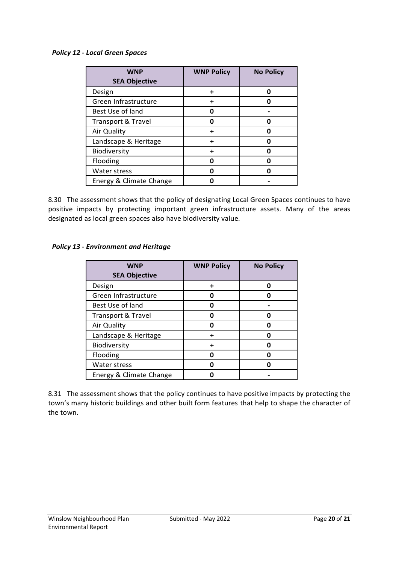#### *Policy 12 - Local Green Spaces*

| <b>WNP</b><br><b>SEA Objective</b> | <b>WNP Policy</b> | <b>No Policy</b> |
|------------------------------------|-------------------|------------------|
| Design                             |                   |                  |
| Green Infrastructure               |                   |                  |
| Best Use of land                   |                   |                  |
| <b>Transport &amp; Travel</b>      |                   |                  |
| Air Quality                        |                   |                  |
| Landscape & Heritage               |                   |                  |
| Biodiversity                       |                   |                  |
| Flooding                           |                   |                  |
| Water stress                       |                   |                  |
| Energy & Climate Change            |                   |                  |

8.30 The assessment shows that the policy of designating Local Green Spaces continues to have positive impacts by protecting important green infrastructure assets. Many of the areas designated as local green spaces also have biodiversity value.

#### *Policy 13 - Environment and Heritage*

| <b>WNP</b><br><b>SEA Objective</b> | <b>WNP Policy</b> | <b>No Policy</b> |
|------------------------------------|-------------------|------------------|
| Design                             |                   |                  |
| Green Infrastructure               |                   |                  |
| Best Use of land                   |                   |                  |
| <b>Transport &amp; Travel</b>      |                   |                  |
| Air Quality                        |                   |                  |
| Landscape & Heritage               |                   |                  |
| Biodiversity                       |                   |                  |
| Flooding                           |                   |                  |
| Water stress                       |                   |                  |
| Energy & Climate Change            |                   |                  |

8.31 The assessment shows that the policy continues to have positive impacts by protecting the town's many historic buildings and other built form features that help to shape the character of the town.